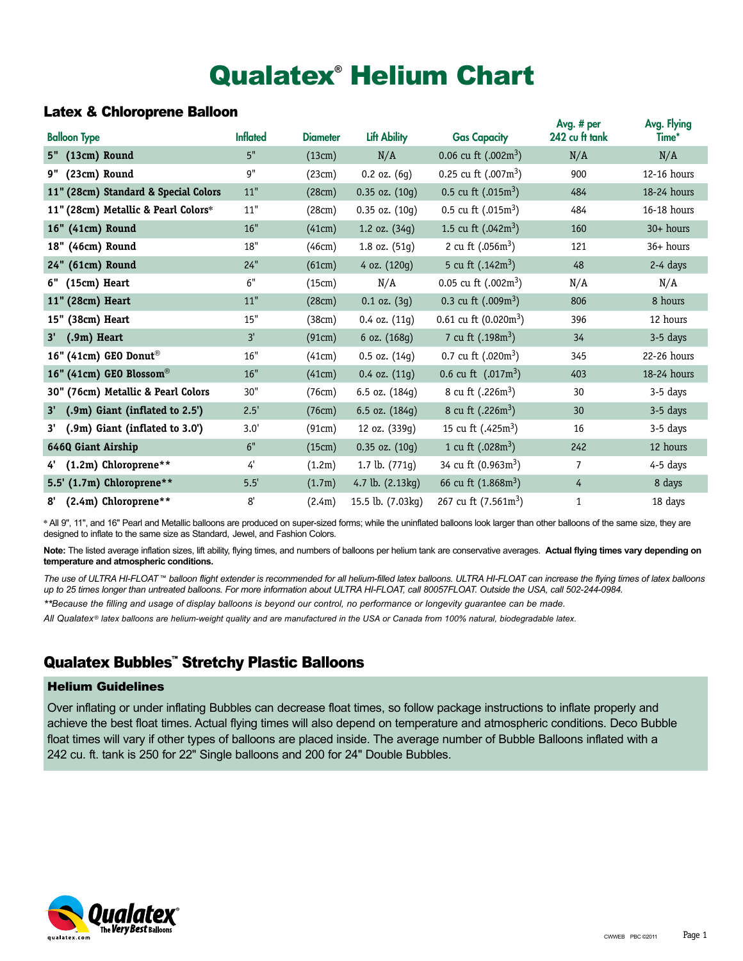# Qualatex**®** Helium Chart

### Latex & Chloroprene Balloon

| <b>Balloon Type</b>                            | <b>Inflated</b> | <b>Diameter</b> | <b>Lift Ability</b> | <b>Gas Capacity</b>     | Avg. # per<br>242 cu ft tank | Avg. Flying<br>Time* |
|------------------------------------------------|-----------------|-----------------|---------------------|-------------------------|------------------------------|----------------------|
| 5" (13cm) Round                                | 5"              | (13cm)          | N/A                 | 0.06 cu ft $(.002m^3)$  | N/A                          | N/A                  |
| 9" (23cm) Round                                | 9"              | (23cm)          | $0.2$ oz. $(6g)$    | 0.25 cu ft $(.007m^3)$  | 900                          | 12-16 hours          |
| 11" (28cm) Standard & Special Colors           | $11"$           | (28cm)          | $0.35$ oz. $(10g)$  | 0.5 cu ft $(.015m^3)$   | 484                          | 18-24 hours          |
| 11" (28cm) Metallic & Pearl Colors*            | $11"$           | (28cm)          | $0.35$ oz. $(10g)$  | 0.5 cu ft $(.015m^3)$   | 484                          | 16-18 hours          |
| 16" (41cm) Round                               | 16"             | (41cm)          | 1.2 oz. $(34g)$     | 1.5 cu ft $(.042m^3)$   | 160                          | $30+ hours$          |
| 18" (46cm) Round                               | 18"             | (46cm)          | 1.8 oz. (51g)       | 2 cu ft $(.056m^3)$     | 121                          | $36+ hours$          |
| 24" (61cm) Round                               | 24"             | (61cm)          | 4 oz. (120g)        | 5 cu ft $(.142m^3)$     | 48                           | 2-4 days             |
| 6" (15cm) Heart                                | 6"              | (15cm)          | N/A                 | 0.05 cu ft $(.002m^3)$  | N/A                          | N/A                  |
| 11" (28cm) Heart                               | $11"$           | (28cm)          | $0.1$ oz. $(3g)$    | 0.3 cu ft $(.009m^3)$   | 806                          | 8 hours              |
| 15" (38cm) Heart                               | 15"             | (38cm)          | 0.4 oz. (11g)       | 0.61 cu ft $(0.020m^3)$ | 396                          | 12 hours             |
| $(.9m)$ Heart<br>3'                            | 3'              | (91cm)          | 6 oz. (168g)        | 7 cu ft $(.198m^3)$     | 34                           | 3-5 days             |
| 16" (41cm) GEO Donut <sup>®</sup>              | 16"             | (41cm)          | $0.5$ oz. $(14g)$   | 0.7 cu ft $(.020m^3)$   | 345                          | 22-26 hours          |
| 16" (41cm) GEO Blossom®                        | 16"             | (41cm)          | $0.4$ oz. $(11g)$   | 0.6 cu ft $(.017m^3)$   | 403                          | 18-24 hours          |
| 30" (76cm) Metallic & Pearl Colors             | 30"             | (76cm)          | 6.5 oz. (184g)      | 8 cu ft $(.226m^3)$     | 30                           | 3-5 days             |
| (.9m) Giant (inflated to 2.5')<br>$3^{\prime}$ | 2.5'            | (76cm)          | 6.5 oz. (184g)      | 8 cu ft $(.226m^3)$     | 30                           | 3-5 days             |
| 3' (.9m) Giant (inflated to 3.0')              | 3.0'            | (91cm)          | 12 oz. (339g)       | 15 cu ft $(.425m^3)$    | 16                           | 3-5 days             |
| 646Q Giant Airship                             | 6"              | (15cm)          | $0.35$ oz. $(10g)$  | 1 cu ft $(.028m^3)$     | 242                          | 12 hours             |
| (1.2m) Chloroprene**                           | 4'              | (1.2m)          | 1.7 lb. $(771g)$    | 34 cu ft $(0.963m^3)$   | $\overline{7}$               | 4-5 days             |
| 5.5' (1.7m) Chloroprene**                      | 5.5'            | (1.7m)          | 4.7 lb. (2.13kg)    | 66 cu ft $(1.868m^3)$   | 4                            | 8 days               |
| (2.4m) Chloroprene**<br>8'                     | 8'              | (2.4m)          | 15.5 lb. (7.03kg)   | 267 cu ft $(7.561m^3)$  | $\mathbf{1}$                 | 18 days              |

\* All 9", 11", and 16" Pearl and Metallic balloons are produced on super-sized forms; while the uninflated balloons look larger than other balloons of the same size, they are designed to inflate to the same size as Standard, Jewel, and Fashion Colors.

Note: The listed average inflation sizes, lift ability, flying times, and numbers of balloons per helium tank are conservative averages. Actual flying times vary depending on **temperature and atmospheric conditions.**

*The use of ULTRA HI-FLOAT* ™ *balloon flight extender is recommended for all helium-filled latex balloons. ULTRA HI-FLOAT can increase the flying times of latex balloons up to 25 times longer than untreated balloons. For more information about ULTRA HI-FLOAT, call 80057FLOAT. Outside the USA, call 502-244-0984.*

*\*\*Because the filling and usage of display balloons is beyond our control, no performance or longevity guarantee can be made.*

*All Qualatex*® *latex balloons are helium-weight quality and are manufactured in the USA or Canada from 100% natural, biodegradable latex.*

# Qualatex Bubbles™ Stretchy Plastic Balloons

#### Helium Guidelines

Over inflating or under inflating Bubbles can decrease float times, so follow package instructions to inflate properly and achieve the best float times. Actual flying times will also depend on temperature and atmospheric conditions. Deco Bubble float times will vary if other types of balloons are placed inside. The average number of Bubble Balloons inflated with a 242 cu. ft. tank is 250 for 22" Single balloons and 200 for 24" Double Bubbles.

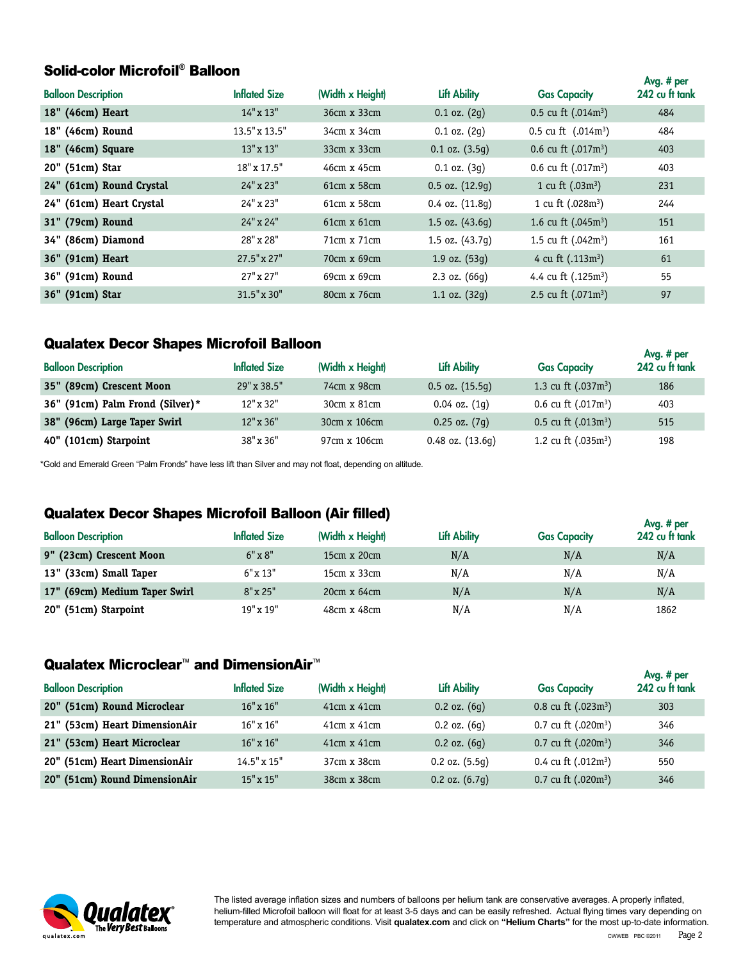# Solid-color Microfoil® Balloon

| <b>Balloon Description</b> | <b>Inflated Size</b> | (Width x Height)   | Lift Ability        | <b>Gas Capacity</b>   | Avg. # per<br>242 cu ft tank |
|----------------------------|----------------------|--------------------|---------------------|-----------------------|------------------------------|
| 18" (46cm) Heart           | 14" x 13"            | 36cm x 33cm        | $0.1$ oz. $(2g)$    | 0.5 cu ft $(.014m^3)$ | 484                          |
| 18" (46cm) Round           | 13.5" x 13.5"        | 34cm x 34cm        | $0.1$ oz. $(2q)$    | 0.5 cu ft $(.014m^3)$ | 484                          |
| 18" (46cm) Square          | $13" \times 13"$     | 33cm x 33cm        | $0.1$ oz. $(3.5q)$  | 0.6 cu ft $(.017m^3)$ | 403                          |
| 20" (51cm) Star            | 18" x 17.5"          | 46cm x 45cm        | $0.1$ oz. $(3q)$    | 0.6 cu ft $(.017m^3)$ | 403                          |
| 24" (61cm) Round Crystal   | 24" x 23"            | 61cm x 58cm        | $0.5$ oz. $(12.9q)$ | 1 cu ft $(.03m^3)$    | 231                          |
| 24" (61cm) Heart Crystal   | 24" x 23"            | 61cm x 58cm        | $0.4$ oz. $(11.8q)$ | 1 cu ft $(.028m^3)$   | 244                          |
| 31" (79cm) Round           | $24"$ x $24"$        | $61cm \times 61cm$ | 1.5 oz. $(43.6q)$   | 1.6 cu ft $(.045m^3)$ | 151                          |
| 34" (86cm) Diamond         | 28" x 28"            | 71cm x 71cm        | 1.5 oz. $(43.7q)$   | 1.5 cu ft $(.042m^3)$ | 161                          |
| 36" (91cm) Heart           | $27.5" \times 27"$   | 70cm x 69cm        | 1.9 oz. $(53g)$     | 4 cu ft $(.113m^3)$   | 61                           |
| 36" (91cm) Round           | $27" \times 27"$     | 69cm x 69cm        | $2.3$ oz. $(66g)$   | 4.4 cu ft $(.125m^3)$ | 55                           |
| 36" (91cm) Star            | 31.5" x 30"          | 80cm x 76cm        | 1.1 oz. $(32q)$     | 2.5 cu ft $(.071m^3)$ | 97                           |

## Qualatex Decor Shapes Microfoil Balloon

| <b>Balloon Description</b>      | <b>Inflated Size</b> | (Width x Height) | Lift Ability         | <b>Gas Capacity</b>   | Avg. # per<br>242 cu ft tank |
|---------------------------------|----------------------|------------------|----------------------|-----------------------|------------------------------|
| 35" (89cm) Crescent Moon        | 29" x 38.5"          | 74cm x 98cm      | $0.5$ oz. $(15.5q)$  | 1.3 cu ft $(.037m^3)$ | 186                          |
| 36" (91cm) Palm Frond (Silver)* | $12" \times 32"$     | 30cm x 81cm      | $0.04$ oz. $(1q)$    | 0.6 cu ft $(.017m^3)$ | 403                          |
| 38" (96cm) Large Taper Swirl    | $12" \times 36"$     | 30cm x 106cm     | $0.25$ oz. $(7q)$    | 0.5 cu ft $(.013m^3)$ | 515                          |
| 40" (101cm) Starpoint           | 38" x 36"            | 97cm x 106cm     | $0.48$ oz. $(13.6q)$ | 1.2 cu ft $(.035m^3)$ | 198                          |

\*Gold and Emerald Green "Palm Fronds" have less lift than Silver and may not float, depending on altitude.

# Qualatex Decor Shapes Microfoil Balloon (Air filled)

|                               |                      |                    |                     |                     | Avg. # per     |
|-------------------------------|----------------------|--------------------|---------------------|---------------------|----------------|
| <b>Balloon Description</b>    | <b>Inflated Size</b> | (Width x Height)   | <b>Lift Ability</b> | <b>Gas Capacity</b> | 242 cu ft tank |
| 9" (23cm) Crescent Moon       | $6" \times 8"$       | $15cm \times 20cm$ | N/A                 | N/A                 | N/A            |
| 13" (33cm) Small Taper        | $6" \times 13"$      | 15cm x 33cm        | N/A                 | N/A                 | N/A            |
| 17" (69cm) Medium Taper Swirl | $8" \times 25"$      | $20cm \times 64cm$ | N/A                 | N/A                 | N/A            |
| 20" (51cm) Starpoint          | 19" x 19"            | 48cm x 48cm        | N/A                 | N/A                 | 1862           |

## Qualatex Microclear<sup>™</sup> and DimensionAir<sup>™</sup>

| <b>Balloon Description</b>    | <b>Inflated Size</b> | (Width x Height)   | Lift Ability       | <b>Gas Capacity</b>   | Avg. # per<br>242 cu ft tank |
|-------------------------------|----------------------|--------------------|--------------------|-----------------------|------------------------------|
| 20" (51cm) Round Microclear   | $16" \times 16"$     | $41cm \times 41cm$ | $0.2$ oz. $(6q)$   | 0.8 cu ft $(.023m^3)$ | 303                          |
| 21" (53cm) Heart DimensionAir | $16"$ x $16"$        | 41cm x 41cm        | $0.2$ oz. $(6q)$   | 0.7 cu ft $(.020m^3)$ | 346                          |
| 21" (53cm) Heart Microclear   | $16" \times 16"$     | $41cm \times 41cm$ | $0.2$ oz. $(6q)$   | 0.7 cu ft $(.020m^3)$ | 346                          |
| 20" (51cm) Heart DimensionAir | $14.5" \times 15"$   | 37cm x 38cm        | $0.2$ oz. $(5.5q)$ | 0.4 cu ft $(.012m^3)$ | 550                          |
| 20" (51cm) Round DimensionAir | $15" \times 15"$     | 38cm x 38cm        | $0.2$ oz. $(6.7q)$ | 0.7 cu ft $(.020m^3)$ | 346                          |



The listed average inflation sizes and numbers of balloons per helium tank are conservative averages. A properly inflated, helium-filled Microfoil balloon will float for at least 3-5 days and can be easily refreshed. Actual flying times vary depending on temperature and atmospheric conditions. Visit **qualatex.com** and click on **"Helium Charts"** for the most up-to-date information.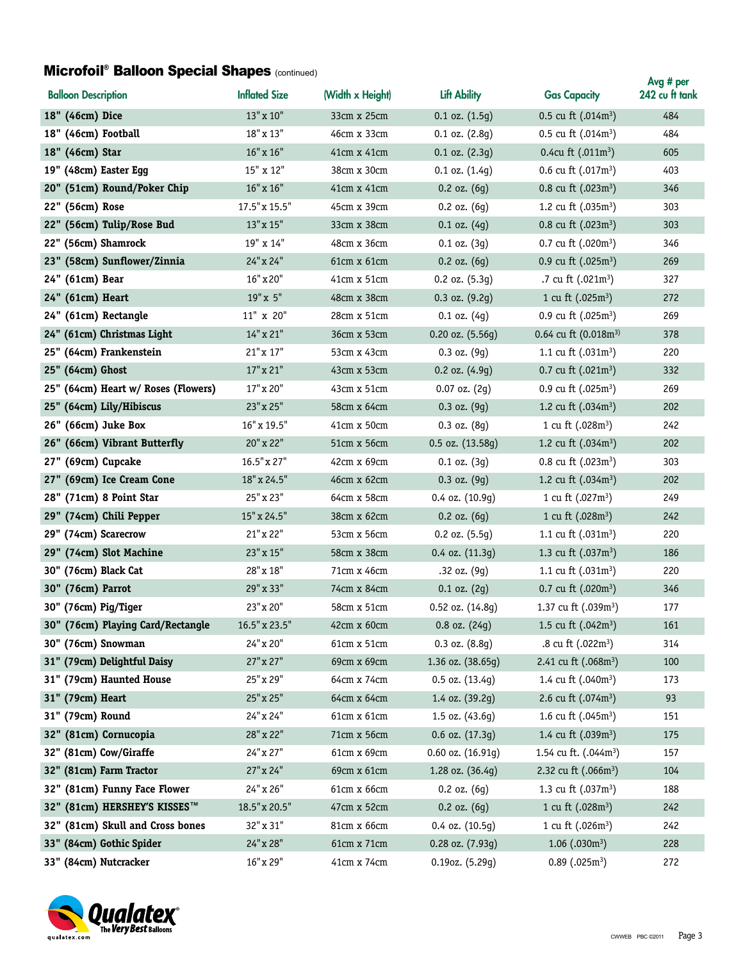#### **Microfoil<sup>®</sup> Balloon Special Shapes (continued)**

| <b>Balloon Description</b>          | <b>Inflated Size</b> | (Width x Height)   | <b>Lift Ability</b>  | <b>Gas Capacity</b>               | Avg # per<br>242 cu ft tank |
|-------------------------------------|----------------------|--------------------|----------------------|-----------------------------------|-----------------------------|
| 18" (46cm) Dice                     | 13" x 10"            | 33cm x 25cm        | $0.1$ oz. $(1.5g)$   | 0.5 cu ft $(.014m^3)$             | 484                         |
| 18" (46cm) Football                 | $18"$ x $13"$        | 46cm x 33cm        | $0.1$ oz. $(2.8g)$   | $0.5$ cu ft $(.014m^3)$           | 484                         |
| 18" (46cm) Star                     | $16" \times 16"$     | 41cm x 41cm        | $0.1$ oz. $(2.3q)$   | 0.4cu ft $(.011m^3)$              | 605                         |
| 19" (48cm) Easter Egg               | 15" x 12"            | 38cm x 30cm        | $0.1$ oz. $(1.4g)$   | 0.6 cu ft $(.017m^3)$             | 403                         |
| 20" (51cm) Round/Poker Chip         | $16"$ x $16"$        | $41cm \times 41cm$ | $0.2$ oz. $(6g)$     | 0.8 cu ft $(.023m^3)$             | 346                         |
| 22" (56cm) Rose                     | 17.5" x 15.5"        | 45cm x 39cm        | $0.2$ oz. $(6g)$     | 1.2 cu ft (.035m <sup>3</sup> )   | 303                         |
| 22" (56cm) Tulip/Rose Bud           | 13"x15"              | 33cm x 38cm        | $0.1$ oz. $(4g)$     | 0.8 cu ft $(.023m^3)$             | 303                         |
| 22" (56cm) Shamrock                 | 19" x 14"            | 48cm x 36cm        | $0.1$ oz. $(3g)$     | 0.7 cu ft $(.020m^3)$             | 346                         |
| 23" (58cm) Sunflower/Zinnia         | 24" x 24"            | 61cm x 61cm        | $0.2$ oz. $(6g)$     | 0.9 cu ft $(.025m^3)$             | 269                         |
| 24" (61cm) Bear                     | $16"$ x $20"$        | 41cm x 51cm        | $0.2$ oz. $(5.3g)$   | .7 cu ft (.021m <sup>3</sup> )    | 327                         |
| 24" (61cm) Heart                    | 19"x 5"              | 48cm x 38cm        | $0.3$ oz. $(9.2g)$   | 1 cu ft $(.025m^3)$               | 272                         |
| 24" (61cm) Rectangle                | 11" x 20"            | 28cm x 51cm        | $0.1$ oz. $(4g)$     | 0.9 cu ft $(.025m^3)$             | 269                         |
| 24" (61cm) Christmas Light          | $14"$ x $21"$        | 36cm x 53cm        | $0.20$ oz. $(5.56g)$ | 0.64 cu ft $(0.018m^3)$           | 378                         |
| 25" (64cm) Frankenstein             | 21" x 17"            | 53cm x 43cm        | $0.3$ oz. $(9q)$     | 1.1 cu ft $(.031m^3)$             | 220                         |
| 25" (64cm) Ghost                    | $17" \times 21"$     | 43cm x 53cm        | $0.2$ oz. $(4.9g)$   | 0.7 cu ft $(.021m^3)$             | 332                         |
| 25" (64cm) Heart w/ Roses (Flowers) | 17" x 20"            | 43cm x 51cm        | $0.07$ oz. $(2g)$    | 0.9 cu ft $(.025m^3)$             | 269                         |
| 25" (64cm) Lily/Hibiscus            | 23" x 25"            | 58cm x 64cm        | $0.3$ oz. $(9q)$     | 1.2 cu ft $(.034m^3)$             | 202                         |
| 26" (66cm) Juke Box                 | 16" x 19.5"          | 41cm x 50cm        | $0.3$ oz. $(8q)$     | 1 cu ft (.028m <sup>3</sup> )     | 242                         |
| 26" (66cm) Vibrant Butterfly        | 20" x 22"            | 51cm x 56cm        | 0.5 oz. (13.58g)     | 1.2 cu ft $(.034m^3)$             | 202                         |
| 27" (69cm) Cupcake                  | 16.5" x 27"          | 42cm x 69cm        | $0.1$ oz. $(3g)$     | 0.8 cu ft $(.023m^3)$             | 303                         |
| 27" (69cm) Ice Cream Cone           | 18" x 24.5"          | 46cm x 62cm        | $0.3$ oz. $(9g)$     | 1.2 cu ft $(.034m^3)$             | 202                         |
| 28" (71cm) 8 Point Star             | 25" x 23"            | 64cm x 58cm        | 0.4 oz. (10.9g)      | 1 cu ft $(.027m^3)$               | 249                         |
| 29" (74cm) Chili Pepper             | 15" x 24.5"          | 38cm x 62cm        | $0.2$ oz. $(6g)$     | 1 cu ft (.028m <sup>3</sup> )     | 242                         |
| 29" (74cm) Scarecrow                | 21" x 22"            | 53cm x 56cm        | $0.2$ oz. $(5.5g)$   | 1.1 cu ft $(.031m^3)$             | 220                         |
| 29" (74cm) Slot Machine             | 23" x 15"            | 58cm x 38cm        | 0.4 oz. (11.3g)      | 1.3 cu ft $(.037m^3)$             | 186                         |
| 30" (76cm) Black Cat                | 28" x 18"            | 71cm x 46cm        | $.32$ oz. $(9g)$     | 1.1 cu ft $(.031m^3)$             | 220                         |
| 30" (76cm) Parrot                   | 29" x 33"            | 74cm x 84cm        | $0.1$ oz. $(2g)$     | 0.7 cu ft $(.020m^3)$             | 346                         |
| 30" (76cm) Pig/Tiger                | 23" x 20"            | 58cm x 51cm        | $0.52$ oz. $(14.8q)$ | 1.37 cu ft (.039m <sup>3</sup> )  | 177                         |
| 30" (76cm) Playing Card/Rectangle   | 16.5" x 23.5"        | 42cm x 60cm        | $0.8$ oz. $(24g)$    | 1.5 cu ft $(.042m^3)$             | 161                         |
| 30" (76cm) Snowman                  | 24" x 20"            | 61cm x 51cm        | $0.3$ oz. $(8.8g)$   | .8 cu ft $(.022m^3)$              | 314                         |
| 31" (79cm) Delightful Daisy         | 27" x 27"            | 69cm x 69cm        | 1.36 oz. (38.65g)    | 2.41 cu ft (.068m <sup>3</sup> )  | 100                         |
| 31" (79cm) Haunted House            | 25" x 29"            | 64cm x 74cm        | $0.5$ oz. $(13.4g)$  | 1.4 cu ft (.040m <sup>3</sup> )   | 173                         |
| 31" (79cm) Heart                    | 25" x 25"            | 64cm x 64cm        | 1.4 oz. (39.2g)      | 2.6 cu ft $(.074m^3)$             | 93                          |
| 31" (79cm) Round                    | 24" x 24"            | 61cm x 61cm        | 1.5 oz. $(43.6g)$    | 1.6 cu ft $(.045m^3)$             | 151                         |
| 32" (81cm) Cornucopia               | 28" x 22"            | 71cm x 56cm        | $0.6$ oz. $(17.3g)$  | 1.4 cu ft $(.039m^3)$             | 175                         |
| 32" (81cm) Cow/Giraffe              | 24" x 27"            | 61cm x 69cm        | 0.60 oz. (16.91g)    | 1.54 cu ft. (.044m <sup>3</sup> ) | 157                         |
| 32" (81cm) Farm Tractor             | 27" x 24"            | 69cm x 61cm        | 1.28 oz. (36.4g)     | 2.32 cu ft $(.066m^3)$            | 104                         |
| 32" (81cm) Funny Face Flower        | 24" x 26"            | 61cm x 66cm        | $0.2$ oz. $(6g)$     | 1.3 cu ft $(.037m^3)$             | 188                         |
| 32" (81cm) HERSHEY'S KISSES™        | 18.5" x 20.5"        | 47cm x 52cm        | $0.2$ oz. $(6g)$     | 1 cu ft (.028m <sup>3</sup> )     | 242                         |
| 32" (81cm) Skull and Cross bones    | 32" x 31"            | 81cm x 66cm        | 0.4 oz. (10.5g)      | 1 cu ft (.026m <sup>3</sup> )     | 242                         |
| 33" (84cm) Gothic Spider            | 24" x 28"            | 61cm x 71cm        | 0.28 oz. (7.93g)     | $1.06$ (.030m <sup>3</sup> )      | 228                         |
| 33" (84cm) Nutcracker               | 16" x 29"            | 41cm x 74cm        | 0.19oz. (5.29g)      | $0.89$ (.025m <sup>3</sup> )      | 272                         |

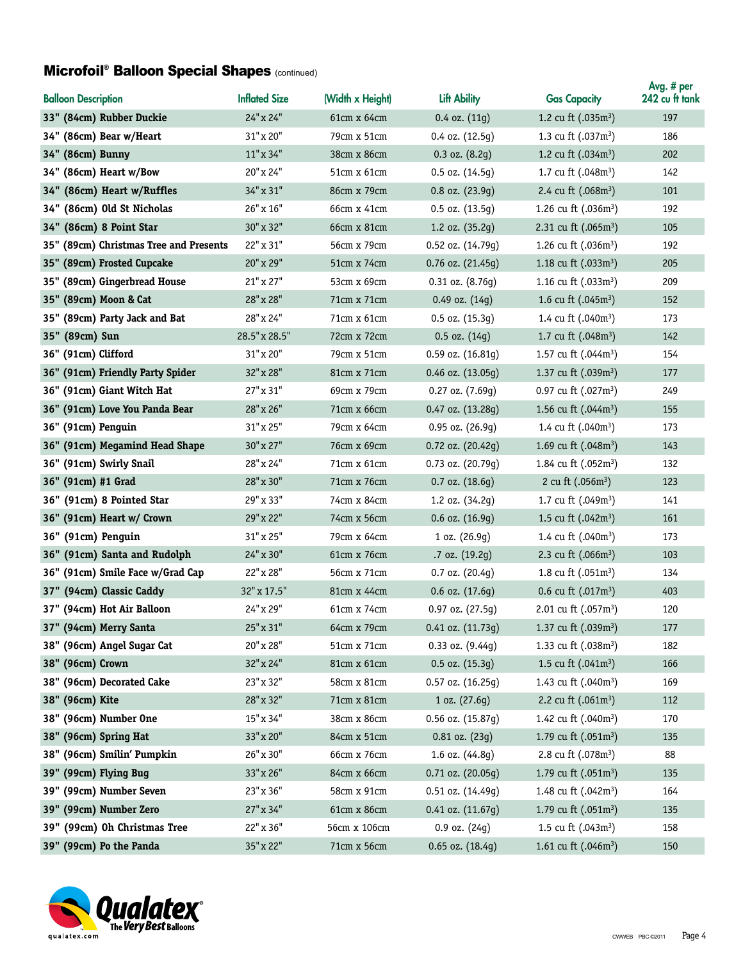### Microfoil® Balloon Special Shapes (continued)

| <b>Balloon Description</b>             | <b>Inflated Size</b> | (Width x Height) | Lift Ability          | <b>Gas Capacity</b>              | Avg. # per<br>242 cu ft tank |
|----------------------------------------|----------------------|------------------|-----------------------|----------------------------------|------------------------------|
| 33" (84cm) Rubber Duckie               | 24" x 24"            | 61cm x 64cm      | $0.4$ oz. $(11g)$     | 1.2 cu ft $(.035m^3)$            | 197                          |
| 34" (86cm) Bear w/Heart                | 31" x 20"            | 79cm x 51cm      | $0.4$ oz. $(12.5q)$   | 1.3 cu ft (.037m <sup>3</sup> )  | 186                          |
| 34" (86cm) Bunny                       | 11"x34"              | 38cm x 86cm      | $0.3$ oz. $(8.2g)$    | 1.2 cu ft $(.034m^3)$            | 202                          |
| 34" (86cm) Heart w/Bow                 | 20" x 24"            | 51cm x 61cm      | 0.5 oz. (14.5g)       | 1.7 cu ft (.048m <sup>3</sup> )  | 142                          |
| 34" (86cm) Heart w/Ruffles             | 34" x 31"            | 86cm x 79cm      | 0.8 oz. (23.9g)       | 2.4 cu ft (.068m <sup>3</sup> )  | 101                          |
| 34" (86cm) Old St Nicholas             | 26" x 16"            | 66cm x 41cm      | 0.5 oz. (13.5g)       | 1.26 cu ft (.036m <sup>3</sup> ) | 192                          |
| 34" (86cm) 8 Point Star                | 30" x 32"            | 66cm x 81cm      | 1.2 oz. (35.2g)       | 2.31 cu ft (.065m <sup>3</sup> ) | 105                          |
| 35" (89cm) Christmas Tree and Presents | 22" x 31"            | 56cm x 79cm      | 0.52 oz. (14.79g)     | 1.26 cu ft $(.036m^3)$           | 192                          |
| 35" (89cm) Frosted Cupcake             | 20" x 29"            | 51cm x 74cm      | 0.76 oz. (21.45g)     | 1.18 cu ft (.033m <sup>3</sup> ) | 205                          |
| 35" (89cm) Gingerbread House           | $21"$ x $27"$        | 53cm x 69cm      | $0.31$ oz. $(8.76q)$  | 1.16 cu ft $(.033m3)$            | 209                          |
| 35" (89cm) Moon & Cat                  | 28" x 28"            | 71cm x 71cm      | 0.49 oz. (14g)        | 1.6 cu ft $(.045m^3)$            | 152                          |
| 35" (89cm) Party Jack and Bat          | 28" x 24"            | 71cm x 61cm      | 0.5 oz. (15.3g)       | 1.4 cu ft (.040m <sup>3</sup> )  | 173                          |
| 35" (89cm) Sun                         | 28.5" x 28.5"        | 72cm x 72cm      | $0.5$ oz. $(14g)$     | 1.7 cu ft (.048m <sup>3</sup> )  | 142                          |
| 36" (91cm) Clifford                    | 31" x 20"            | 79cm x 51cm      | 0.59 oz. (16.81g)     | 1.57 cu ft $(.044m^3)$           | 154                          |
| 36" (91cm) Friendly Party Spider       | 32" x 28"            | 81cm x 71cm      | 0.46 oz. (13.05g)     | 1.37 cu ft (.039m <sup>3</sup> ) | 177                          |
| 36" (91cm) Giant Witch Hat             | 27" x 31"            | 69cm x 79cm      | $0.27$ oz. $(7.69g)$  | 0.97 cu ft $(.027m^3)$           | 249                          |
| 36" (91cm) Love You Panda Bear         | 28" x 26"            | 71cm x 66cm      | 0.47 oz. (13.28g)     | 1.56 cu ft (.044m <sup>3</sup> ) | 155                          |
| 36" (91cm) Penguin                     | 31" x 25"            | 79cm x 64cm      | 0.95 oz. (26.9g)      | 1.4 cu ft $(.040m^3)$            | 173                          |
| 36" (91cm) Megamind Head Shape         | 30" x 27"            | 76cm x 69cm      | 0.72 oz. (20.42g)     | 1.69 cu ft (.048m <sup>3</sup> ) | 143                          |
| 36" (91cm) Swirly Snail                | 28" x 24"            | 71cm x 61cm      | 0.73 oz. (20.79g)     | 1.84 cu ft (.052m <sup>3</sup> ) | 132                          |
| 36" (91cm) #1 Grad                     | 28" x 30"            | 71cm x 76cm      | $0.7$ oz. $(18.6g)$   | 2 cu ft $(.056m^3)$              | 123                          |
| 36" (91cm) 8 Pointed Star              | 29" x 33"            | 74cm x 84cm      | 1.2 oz. (34.2g)       | 1.7 cu ft $(.049m^3)$            | 141                          |
| 36" (91cm) Heart w/ Crown              | 29" x 22"            | 74cm x 56cm      | $0.6$ oz. $(16.9g)$   | 1.5 cu ft $(.042m^3)$            | 161                          |
| 36" (91cm) Penguin                     | 31" x 25"            | 79cm x 64cm      | 1 oz. (26.9g)         | 1.4 cu ft (.040m <sup>3</sup> )  | 173                          |
| 36" (91cm) Santa and Rudolph           | 24" x 30"            | 61cm x 76cm      | .7 oz. (19.2g)        | 2.3 cu ft $(.066m^3)$            | 103                          |
| 36" (91cm) Smile Face w/Grad Cap       | 22" x 28"            | 56cm x 71cm      | 0.7 oz. (20.4g)       | 1.8 cu ft $(.051m^3)$            | 134                          |
| 37" (94cm) Classic Caddy               | 32" x 17.5"          | 81cm x 44cm      | $0.6$ oz. $(17.6g)$   | 0.6 cu ft $(.017m^3)$            | 403                          |
| 37" (94cm) Hot Air Balloon             | 24" x 29"            | 61cm x 74cm      | 0.97 oz. (27.5g)      | 2.01 cu ft (.057m <sup>3</sup> ) | 120                          |
| 37" (94cm) Merry Santa                 | 25" x 31"            | 64cm x 79cm      | $0.41$ oz. $(11.73g)$ | 1.37 cu ft $(.039m^3)$           | $177\,$                      |
| 38" (96cm) Angel Sugar Cat             | 20" x 28"            | 51cm x 71cm      | $0.33$ oz. $(9.44g)$  | 1.33 cu ft (.038m <sup>3</sup> ) | 182                          |
| 38" (96cm) Crown                       | 32" x 24"            | 81cm x 61cm      | $0.5$ oz. $(15.3q)$   | 1.5 cu ft $(.041m^3)$            | 166                          |
| 38" (96cm) Decorated Cake              | 23" x 32"            | 58cm x 81cm      | $0.57$ oz. $(16.25g)$ | 1.43 cu ft (.040m <sup>3</sup> ) | 169                          |
| 38" (96cm) Kite                        | 28" x 32"            | 71cm x 81cm      | 1 oz. (27.6g)         | 2.2 cu ft $(.061m^3)$            | 112                          |
| 38" (96cm) Number One                  | 15" x 34"            | 38cm x 86cm      | $0.56$ oz. $(15.87g)$ | 1.42 cu ft (.040m <sup>3</sup> ) | 170                          |
| 38" (96cm) Spring Hat                  | 33" x 20"            | 84cm x 51cm      | $0.81$ oz. $(23g)$    | 1.79 cu ft (.051m <sup>3</sup> ) | 135                          |
| 38" (96cm) Smilin' Pumpkin             | 26" x 30"            | 66cm x 76cm      | 1.6 oz. (44.8g)       | 2.8 cu ft (.078m <sup>3</sup> )  | 88                           |
| 39" (99cm) Flying Bug                  | 33" x 26"            | 84cm x 66cm      | 0.71 oz. (20.05g)     | 1.79 cu ft $(.051m^3)$           | 135                          |
| 39" (99cm) Number Seven                | 23" x 36"            | 58cm x 91cm      | 0.51 oz. (14.49g)     | 1.48 cu ft (.042m <sup>3</sup> ) | 164                          |
| 39" (99cm) Number Zero                 | 27" x 34"            | 61cm x 86cm      | 0.41 oz. (11.67g)     | 1.79 cu ft $(.051m^3)$           | 135                          |
| 39" (99cm) Oh Christmas Tree           | 22" x 36"            | 56cm x 106cm     | $0.9$ oz. $(24g)$     | 1.5 cu ft (.043m <sup>3</sup> )  | 158                          |
| 39" (99cm) Po the Panda                | 35" x 22"            | 71cm x 56cm      | $0.65$ oz. $(18.4g)$  | 1.61 cu ft (.046m <sup>3</sup> ) | 150                          |